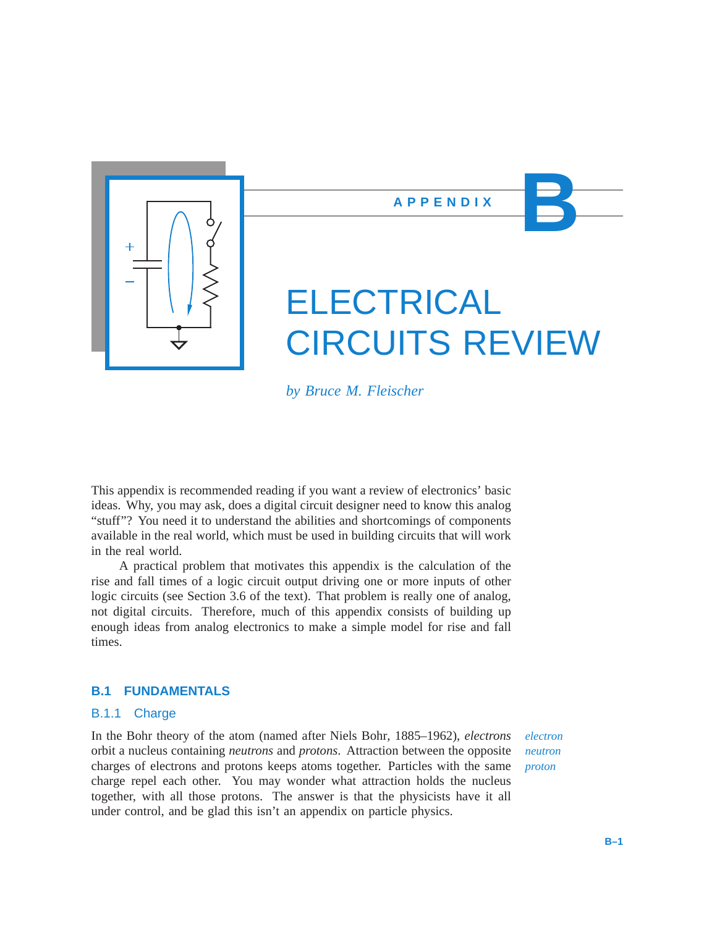

*by Bruce M. Fleischer*

This appendix is recommended reading if you want a review of electronics' basic ideas. Why, you may ask, does a digital circuit designer need to know this analog "stuff"? You need it to understand the abilities and shortcomings of components available in the real world, which must be used in building circuits that will work in the real world.

A practical problem that motivates this appendix is the calculation of the rise and fall times of a logic circuit output driving one or more inputs of other logic circuits (see Section 3.6 of the text). That problem is really one of analog, not digital circuits. Therefore, much of this appendix consists of building up enough ideas from analog electronics to make a simple model for rise and fall times.

# **B.1 FUNDAMENTALS**

## B.1.1 Charge

In the Bohr theory of the atom (named after Niels Bohr, 1885–1962), *electrons electron* orbit a nucleus containing *neutrons* and *protons*. Attraction between the opposite *neutron* charges of electrons and protons keeps atoms together. Particles with the same *proton* charge repel each other. You may wonder what attraction holds the nucleus together, with all those protons. The answer is that the physicists have it all under control, and be glad this isn't an appendix on particle physics.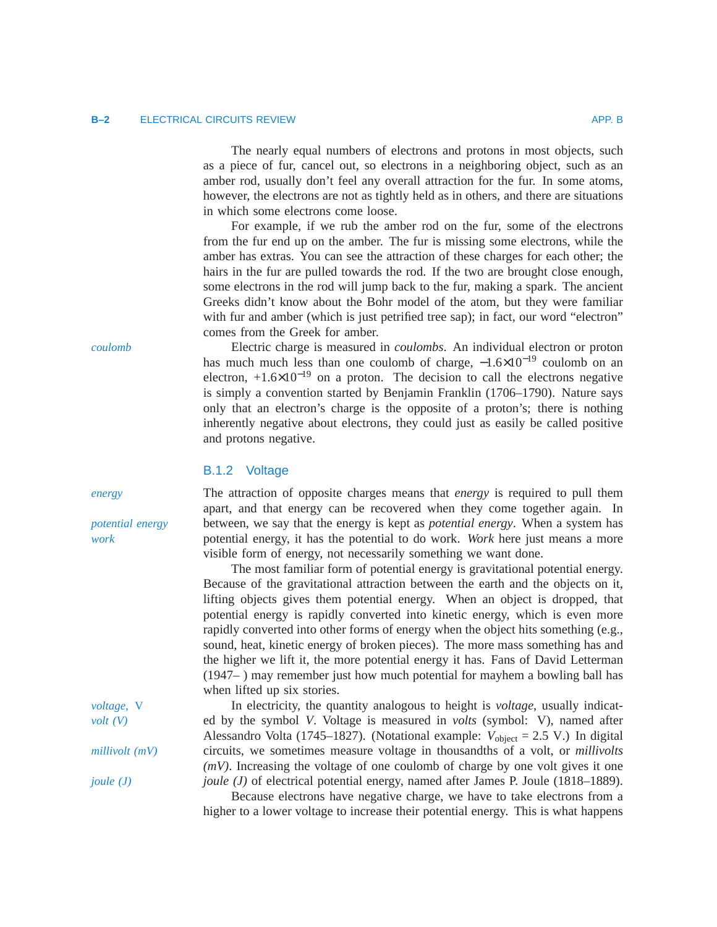### **B–2** ELECTRICAL CIRCUITS REVIEW **APP. B**

The nearly equal numbers of electrons and protons in most objects, such as a piece of fur, cancel out, so electrons in a neighboring object, such as an amber rod, usually don't feel any overall attraction for the fur. In some atoms, however, the electrons are not as tightly held as in others, and there are situations in which some electrons come loose.

For example, if we rub the amber rod on the fur, some of the electrons from the fur end up on the amber. The fur is missing some electrons, while the amber has extras. You can see the attraction of these charges for each other; the hairs in the fur are pulled towards the rod. If the two are brought close enough, some electrons in the rod will jump back to the fur, making a spark. The ancient Greeks didn't know about the Bohr model of the atom, but they were familiar with fur and amber (which is just petrified tree sap); in fact, our word "electron" comes from the Greek for amber.

*coulomb* Electric charge is measured in *coulombs*. An individual electron or proton has much much less than one coulomb of charge,  $-1.6\times10^{-19}$  coulomb on an electron,  $+1.6\times10^{-19}$  on a proton. The decision to call the electrons negative is simply a convention started by Benjamin Franklin (1706–1790). Nature says only that an electron's charge is the opposite of a proton's; there is nothing inherently negative about electrons, they could just as easily be called positive and protons negative.

# B.1.2 Voltage

*energy* The attraction of opposite charges means that *energy* is required to pull them apart, and that energy can be recovered when they come together again. In *potential energy* between, we say that the energy is kept as *potential energy*. When a system has *work* potential energy, it has the potential to do work. *Work* here just means a more visible form of energy, not necessarily something we want done.

> The most familiar form of potential energy is gravitational potential energy. Because of the gravitational attraction between the earth and the objects on it, lifting objects gives them potential energy. When an object is dropped, that potential energy is rapidly converted into kinetic energy, which is even more rapidly converted into other forms of energy when the object hits something (e.g., sound, heat, kinetic energy of broken pieces). The more mass something has and the higher we lift it, the more potential energy it has. Fans of David Letterman (1947– ) may remember just how much potential for mayhem a bowling ball has when lifted up six stories.

*voltage*, V In electricity, the quantity analogous to height is *voltage*, usually indicat*volt* (V) ed by the symbol *V*. Voltage is measured in *volts* (symbol: V), named after Alessandro Volta (1745–1827). (Notational example:  $V_{object} = 2.5$  V.) In digital *millivolt (mV)* circuits, we sometimes measure voltage in thousandths of a volt, or *millivolts (mV)*. Increasing the voltage of one coulomb of charge by one volt gives it one *joule (J) joule (J)* of electrical potential energy, named after James P. Joule (1818–1889).

> Because electrons have negative charge, we have to take electrons from a higher to a lower voltage to increase their potential energy. This is what happens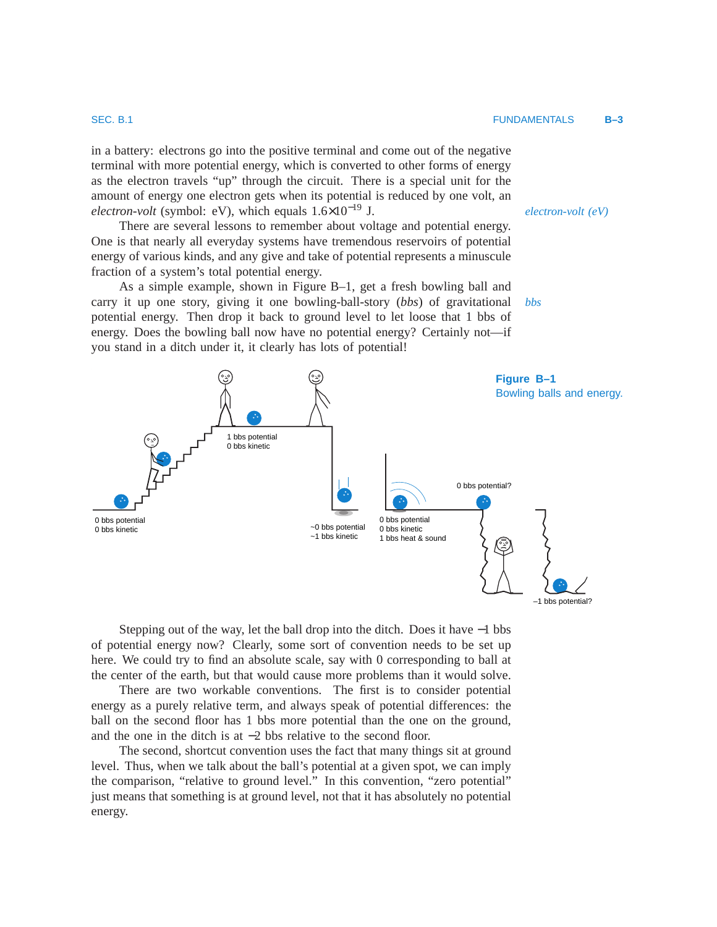#### SEC. B.1 FUNDAMENTALS **B–3**

in a battery: electrons go into the positive terminal and come out of the negative terminal with more potential energy, which is converted to other forms of energy as the electron travels "up" through the circuit. There is a special unit for the amount of energy one electron gets when its potential is reduced by one volt, an *electron-volt* (symbol: eV), which equals 1.6×10−<sup>19</sup> J. *electron-volt (eV)*

There are several lessons to remember about voltage and potential energy. One is that nearly all everyday systems have tremendous reservoirs of potential energy of various kinds, and any give and take of potential represents a minuscule fraction of a system's total potential energy.

As a simple example, shown in Figure B–1, get a fresh bowling ball and carry it up one story, giving it one bowling-ball-story (*bbs*) of gravitational *bbs* potential energy. Then drop it back to ground level to let loose that 1 bbs of energy. Does the bowling ball now have no potential energy? Certainly not—if you stand in a ditch under it, it clearly has lots of potential!



Stepping out of the way, let the ball drop into the ditch. Does it have −1 bbs of potential energy now? Clearly, some sort of convention needs to be set up here. We could try to find an absolute scale, say with 0 corresponding to ball at the center of the earth, but that would cause more problems than it would solve.

There are two workable conventions. The first is to consider potential energy as a purely relative term, and always speak of potential differences: the ball on the second floor has 1 bbs more potential than the one on the ground, and the one in the ditch is at −2 bbs relative to the second floor.

The second, shortcut convention uses the fact that many things sit at ground level. Thus, when we talk about the ball's potential at a given spot, we can imply the comparison, "relative to ground level." In this convention, "zero potential" just means that something is at ground level, not that it has absolutely no potential energy.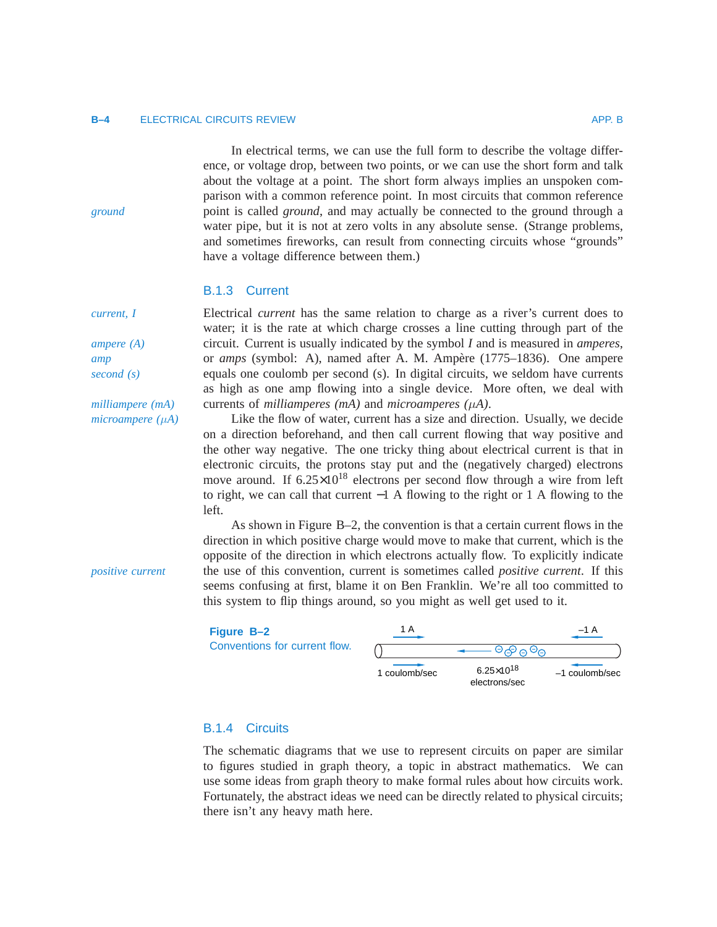#### **B–4** ELECTRICAL CIRCUITS REVIEW **APP. B**

In electrical terms, we can use the full form to describe the voltage difference, or voltage drop, between two points, or we can use the short form and talk about the voltage at a point. The short form always implies an unspoken comparison with a common reference point. In most circuits that common reference *ground* point is called *ground*, and may actually be connected to the ground through a water pipe, but it is not at zero volts in any absolute sense. (Strange problems, and sometimes fireworks, can result from connecting circuits whose "grounds" have a voltage difference between them.)

## B.1.3 Current

*current, I* Electrical *current* has the same relation to charge as a river's current does to water; it is the rate at which charge crosses a line cutting through part of the *ampere (A)* circuit. Current is usually indicated by the symbol *I* and is measured in *amperes*, *amp* or *amps* (symbol: A), named after A. M. Ampère (1775–1836). One ampere *second (s)* equals one coulomb per second (s). In digital circuits, we seldom have currents as high as one amp flowing into a single device. More often, we deal with *milliampere (mA)* currents of *milliamperes (mA)* and *microamperes (µA)*.

*microampere*  $(\mu A)$  Like the flow of water, current has a size and direction. Usually, we decide on a direction beforehand, and then call current flowing that way positive and the other way negative. The one tricky thing about electrical current is that in electronic circuits, the protons stay put and the (negatively charged) electrons move around. If  $6.25 \times 10^{18}$  electrons per second flow through a wire from left to right, we can call that current −1 A flowing to the right or 1 A flowing to the left.

As shown in Figure B–2, the convention is that a certain current flows in the direction in which positive charge would move to make that current, which is the opposite of the direction in which electrons actually flow. To explicitly indicate *positive current* the use of this convention, current is sometimes called *positive current*. If this seems confusing at first, blame it on Ben Franklin. We're all too committed to this system to flip things around, so you might as well get used to it.



## B.1.4 Circuits

The schematic diagrams that we use to represent circuits on paper are similar to figures studied in graph theory, a topic in abstract mathematics. We can use some ideas from graph theory to make formal rules about how circuits work. Fortunately, the abstract ideas we need can be directly related to physical circuits; there isn't any heavy math here.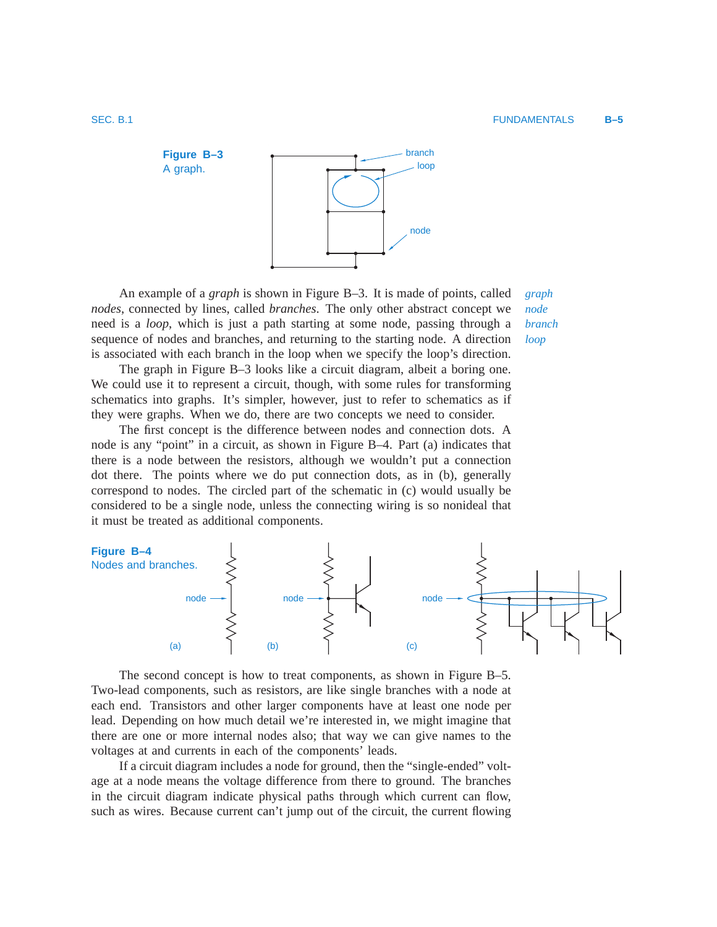

An example of a *graph* is shown in Figure B–3. It is made of points, called *graph nodes*, connected by lines, called *branches*. The only other abstract concept we *node* need is a *loop*, which is just a path starting at some node, passing through a *branch* sequence of nodes and branches, and returning to the starting node. A direction *loop* is associated with each branch in the loop when we specify the loop's direction.

The graph in Figure B–3 looks like a circuit diagram, albeit a boring one. We could use it to represent a circuit, though, with some rules for transforming schematics into graphs. It's simpler, however, just to refer to schematics as if they were graphs. When we do, there are two concepts we need to consider.

The first concept is the difference between nodes and connection dots. A node is any "point" in a circuit, as shown in Figure B–4. Part (a) indicates that there is a node between the resistors, although we wouldn't put a connection dot there. The points where we do put connection dots, as in (b), generally correspond to nodes. The circled part of the schematic in (c) would usually be considered to be a single node, unless the connecting wiring is so nonideal that it must be treated as additional components.



The second concept is how to treat components, as shown in Figure B–5. Two-lead components, such as resistors, are like single branches with a node at each end. Transistors and other larger components have at least one node per lead. Depending on how much detail we're interested in, we might imagine that there are one or more internal nodes also; that way we can give names to the voltages at and currents in each of the components' leads.

If a circuit diagram includes a node for ground, then the "single-ended" voltage at a node means the voltage difference from there to ground. The branches in the circuit diagram indicate physical paths through which current can flow, such as wires. Because current can't jump out of the circuit, the current flowing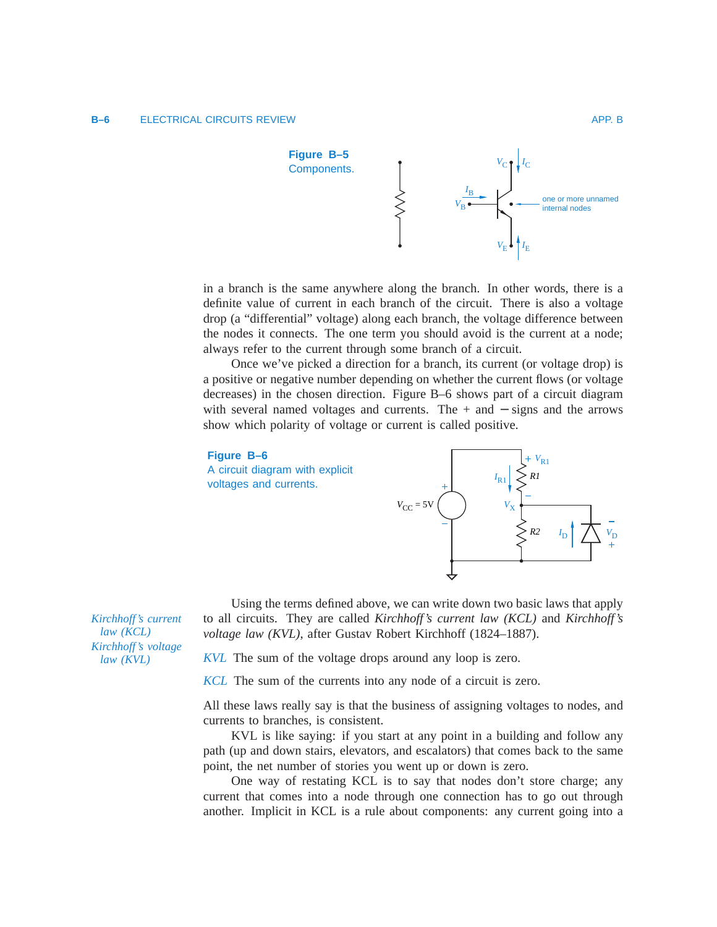

in a branch is the same anywhere along the branch. In other words, there is a definite value of current in each branch of the circuit. There is also a voltage drop (a "differential" voltage) along each branch, the voltage difference between the nodes it connects. The one term you should avoid is the current at a node; always refer to the current through some branch of a circuit.

Once we've picked a direction for a branch, its current (or voltage drop) is a positive or negative number depending on whether the current flows (or voltage decreases) in the chosen direction. Figure B–6 shows part of a circuit diagram with several named voltages and currents. The  $+$  and  $-$  signs and the arrows show which polarity of voltage or current is called positive.

#### **Figure B–6**

A circuit diagram with explicit voltages and currents.



*law (KCL) Kirchhoff's voltage law (KVL)*

Using the terms defined above, we can write down two basic laws that apply *Kirchhoff's current* to all circuits. They are called *Kirchhoff's current law (KCL)* and *Kirchhoff's voltage law (KVL)*, after Gustav Robert Kirchhoff (1824–1887).

*KVL* The sum of the voltage drops around any loop is zero.

*KCL* The sum of the currents into any node of a circuit is zero.

All these laws really say is that the business of assigning voltages to nodes, and currents to branches, is consistent.

KVL is like saying: if you start at any point in a building and follow any path (up and down stairs, elevators, and escalators) that comes back to the same point, the net number of stories you went up or down is zero.

One way of restating KCL is to say that nodes don't store charge; any current that comes into a node through one connection has to go out through another. Implicit in KCL is a rule about components: any current going into a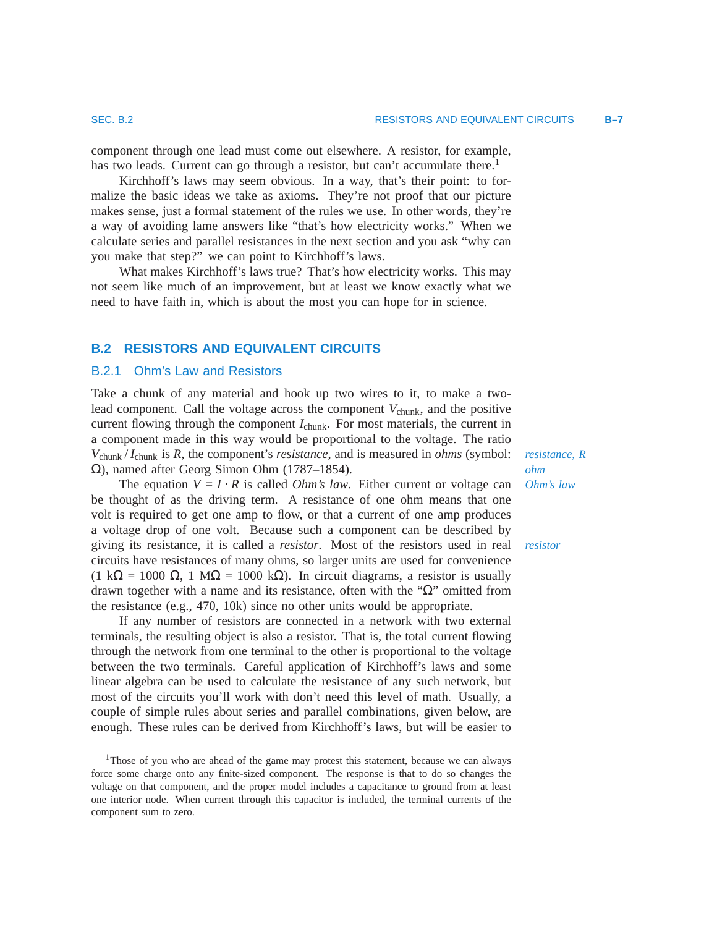component through one lead must come out elsewhere. A resistor, for example, has two leads. Current can go through a resistor, but can't accumulate there.<sup>1</sup>

Kirchhoff's laws may seem obvious. In a way, that's their point: to formalize the basic ideas we take as axioms. They're not proof that our picture makes sense, just a formal statement of the rules we use. In other words, they're a way of avoiding lame answers like "that's how electricity works." When we calculate series and parallel resistances in the next section and you ask "why can you make that step?" we can point to Kirchhoff's laws.

What makes Kirchhoff's laws true? That's how electricity works. This may not seem like much of an improvement, but at least we know exactly what we need to have faith in, which is about the most you can hope for in science.

## **B.2 RESISTORS AND EQUIVALENT CIRCUITS**

## B.2.1 Ohm's Law and Resistors

Take a chunk of any material and hook up two wires to it, to make a twolead component. Call the voltage across the component *V*chunk, and the positive current flowing through the component *I*<sub>chunk</sub>. For most materials, the current in a component made in this way would be proportional to the voltage. The ratio *V*chunk / *I*chunk is *R*, the component's *resistance*, and is measured in *ohms* (symbol: *resistance, R* Ω), named after Georg Simon Ohm (1787–1854). *ohm*

The equation  $V = I \cdot R$  is called *Ohm's law*. Either current or voltage can *Ohm's law* be thought of as the driving term. A resistance of one ohm means that one volt is required to get one amp to flow, or that a current of one amp produces a voltage drop of one volt. Because such a component can be described by giving its resistance, it is called a *resistor*. Most of the resistors used in real *resistor* circuits have resistances of many ohms, so larger units are used for convenience (1 k $\Omega$  = 1000  $\Omega$ , 1 M $\Omega$  = 1000 k $\Omega$ ). In circuit diagrams, a resistor is usually drawn together with a name and its resistance, often with the "Ω" omitted from the resistance (e.g., 470, 10k) since no other units would be appropriate.

If any number of resistors are connected in a network with two external terminals, the resulting object is also a resistor. That is, the total current flowing through the network from one terminal to the other is proportional to the voltage between the two terminals. Careful application of Kirchhoff's laws and some linear algebra can be used to calculate the resistance of any such network, but most of the circuits you'll work with don't need this level of math. Usually, a couple of simple rules about series and parallel combinations, given below, are enough. These rules can be derived from Kirchhoff's laws, but will be easier to

<sup>&</sup>lt;sup>1</sup>Those of you who are ahead of the game may protest this statement, because we can always force some charge onto any finite-sized component. The response is that to do so changes the voltage on that component, and the proper model includes a capacitance to ground from at least one interior node. When current through this capacitor is included, the terminal currents of the component sum to zero.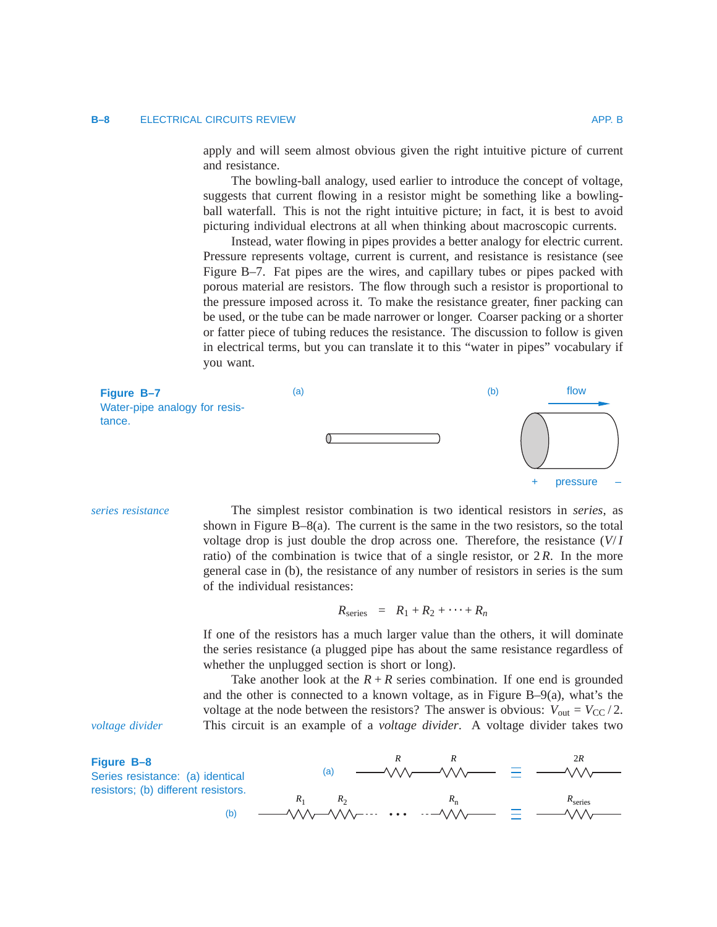### **B–8** ELECTRICAL CIRCUITS REVIEW **APP. B**

apply and will seem almost obvious given the right intuitive picture of current and resistance.

The bowling-ball analogy, used earlier to introduce the concept of voltage, suggests that current flowing in a resistor might be something like a bowlingball waterfall. This is not the right intuitive picture; in fact, it is best to avoid picturing individual electrons at all when thinking about macroscopic currents.

Instead, water flowing in pipes provides a better analogy for electric current. Pressure represents voltage, current is current, and resistance is resistance (see Figure B–7. Fat pipes are the wires, and capillary tubes or pipes packed with porous material are resistors. The flow through such a resistor is proportional to the pressure imposed across it. To make the resistance greater, finer packing can be used, or the tube can be made narrower or longer. Coarser packing or a shorter or fatter piece of tubing reduces the resistance. The discussion to follow is given in electrical terms, but you can translate it to this "water in pipes" vocabulary if you want.

**Figure B–7** Water-pipe analogy for resistance.



*series resistance* The simplest resistor combination is two identical resistors in *series*, as shown in Figure B–8(a). The current is the same in the two resistors, so the total voltage drop is just double the drop across one. Therefore, the resistance (*V*/ *I* ratio) of the combination is twice that of a single resistor, or  $2R$ . In the more general case in (b), the resistance of any number of resistors in series is the sum of the individual resistances:

$$
R_{\text{series}} = R_1 + R_2 + \cdots + R_n
$$

If one of the resistors has a much larger value than the others, it will dominate the series resistance (a plugged pipe has about the same resistance regardless of whether the unplugged section is short or long).

Take another look at the  $R + R$  series combination. If one end is grounded and the other is connected to a known voltage, as in Figure B–9(a), what's the voltage at the node between the resistors? The answer is obvious:  $V_{\text{out}} = V_{\text{CC}}/2$ . *voltage divider* This circuit is an example of a *voltage divider*. A voltage divider takes two

**Figure B–8** Series resistance: (a) identical resistors; (b) different resistors.

 $(b)$ 

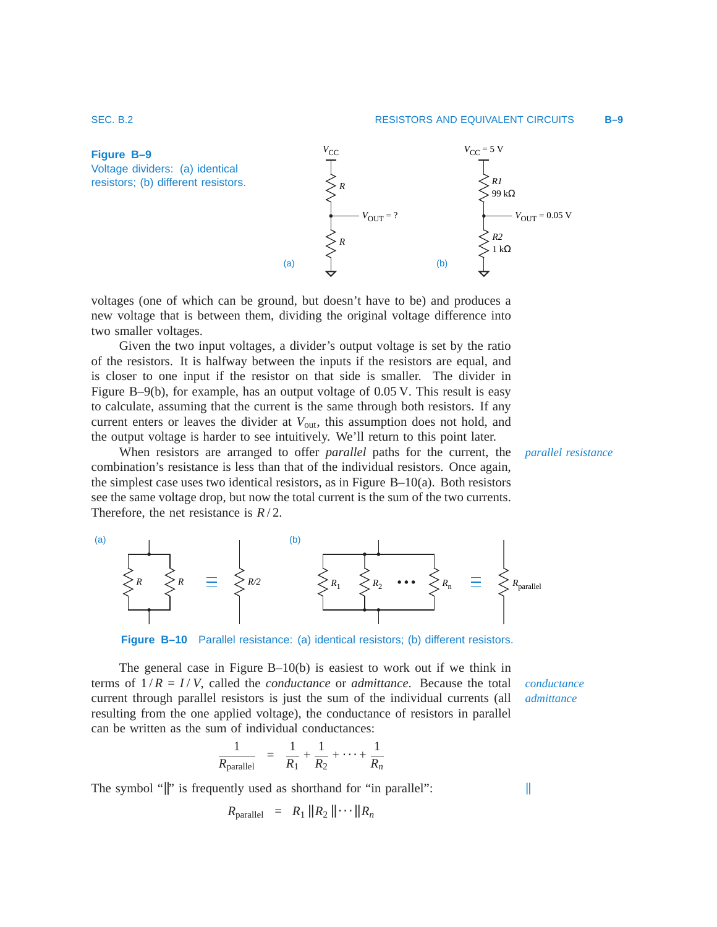

voltages (one of which can be ground, but doesn't have to be) and produces a new voltage that is between them, dividing the original voltage difference into two smaller voltages.

Given the two input voltages, a divider's output voltage is set by the ratio of the resistors. It is halfway between the inputs if the resistors are equal, and is closer to one input if the resistor on that side is smaller. The divider in Figure B–9(b), for example, has an output voltage of 0.05 V. This result is easy to calculate, assuming that the current is the same through both resistors. If any current enters or leaves the divider at  $V_{\text{out}}$ , this assumption does not hold, and the output voltage is harder to see intuitively. We'll return to this point later.

When resistors are arranged to offer *parallel* paths for the current, the *parallel resistance* combination's resistance is less than that of the individual resistors. Once again, the simplest case uses two identical resistors, as in Figure B–10(a). Both resistors see the same voltage drop, but now the total current is the sum of the two currents. Therefore, the net resistance is *R* / 2.





**Figure B–10** Parallel resistance: (a) identical resistors; (b) different resistors.

The general case in Figure B–10(b) is easiest to work out if we think in terms of  $1/R = I/V$ , called the *conductance* or *admittance*. Because the total *conductance* current through parallel resistors is just the sum of the individual currents (all *admittance* resulting from the one applied voltage), the conductance of resistors in parallel can be written as the sum of individual conductances:

$$
\frac{1}{R_{\text{parallel}}} = \frac{1}{R_1} + \frac{1}{R_2} + \cdots + \frac{1}{R_n}
$$

The symbol "||" is frequently used as shorthand for "in parallel": ||

$$
R_{\text{parallel}} = R_1 || R_2 || \cdots || R_n
$$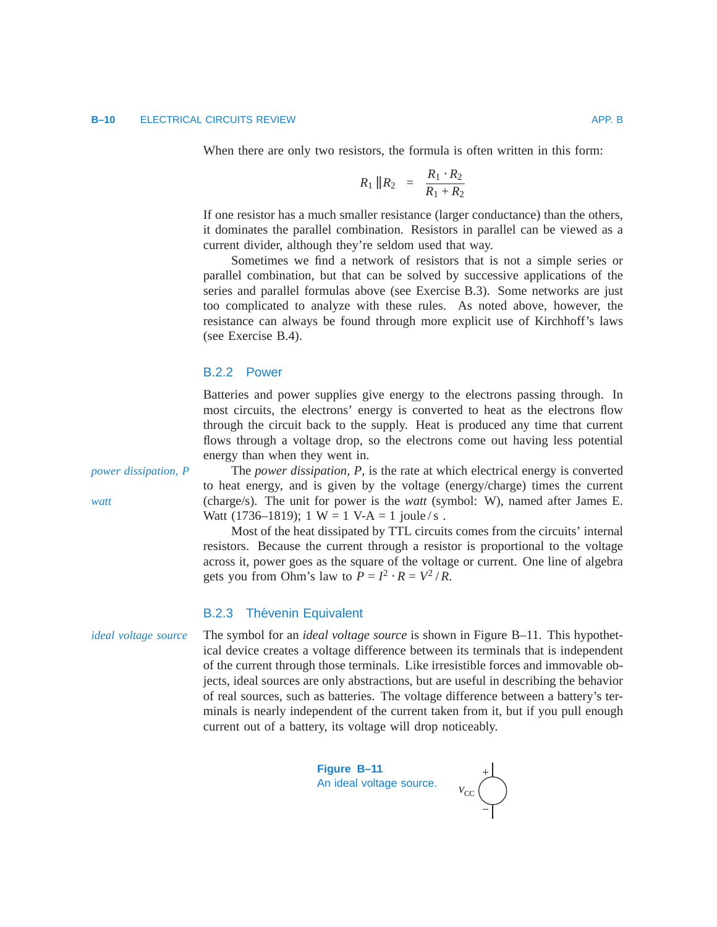When there are only two resistors, the formula is often written in this form:

$$
R_1 \parallel R_2 = \frac{R_1 \cdot R_2}{R_1 + R_2}
$$

If one resistor has a much smaller resistance (larger conductance) than the others, it dominates the parallel combination. Resistors in parallel can be viewed as a current divider, although they're seldom used that way.

Sometimes we find a network of resistors that is not a simple series or parallel combination, but that can be solved by successive applications of the series and parallel formulas above (see Exercise B.3). Some networks are just too complicated to analyze with these rules. As noted above, however, the resistance can always be found through more explicit use of Kirchhoff's laws (see Exercise B.4).

## B.2.2 Power

Batteries and power supplies give energy to the electrons passing through. In most circuits, the electrons' energy is converted to heat as the electrons flow through the circuit back to the supply. Heat is produced any time that current flows through a voltage drop, so the electrons come out having less potential energy than when they went in.

*power dissipation, P* The *power dissipation, P*, is the rate at which electrical energy is converted to heat energy, and is given by the voltage (energy/charge) times the current *watt* (charge/s). The unit for power is the *watt* (symbol: W), named after James E. Watt (1736–1819); 1 W = 1 V-A = 1 joule/s.

> Most of the heat dissipated by TTL circuits comes from the circuits' internal resistors. Because the current through a resistor is proportional to the voltage across it, power goes as the square of the voltage or current. One line of algebra gets you from Ohm's law to  $P = I^2 \cdot R = V^2 / R$ .

## **B.2.3** Thévenin Equivalent

*ideal voltage source* The symbol for an *ideal voltage source* is shown in Figure B–11. This hypothetical device creates a voltage difference between its terminals that is independent of the current through those terminals. Like irresistible forces and immovable objects, ideal sources are only abstractions, but are useful in describing the behavior of real sources, such as batteries. The voltage difference between a battery's terminals is nearly independent of the current taken from it, but if you pull enough current out of a battery, its voltage will drop noticeably.

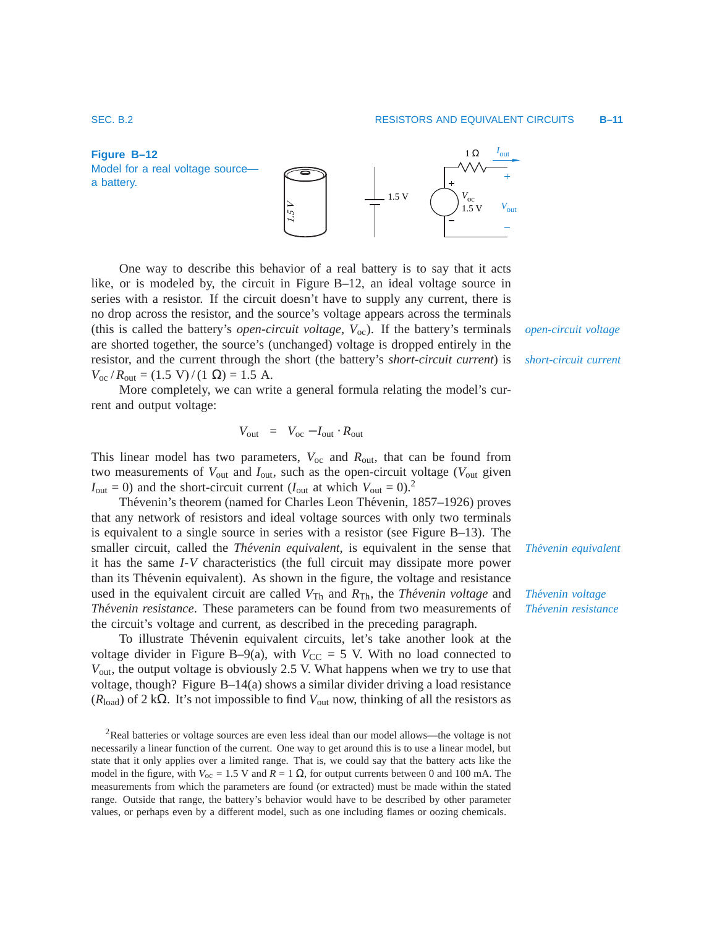

One way to describe this behavior of a real battery is to say that it acts like, or is modeled by, the circuit in Figure B–12, an ideal voltage source in series with a resistor. If the circuit doesn't have to supply any current, there is no drop across the resistor, and the source's voltage appears across the terminals (this is called the battery's *open-circuit voltage*, *V*oc). If the battery's terminals *open-circuit voltage* are shorted together, the source's (unchanged) voltage is dropped entirely in the resistor, and the current through the short (the battery's *short-circuit current*) is *short-circuit current*  $V_{\text{oc}}/R_{\text{out}} = (1.5 \text{ V})/(1 \Omega) = 1.5 \text{ A}.$ 

More completely, we can write a general formula relating the model's current and output voltage:

$$
V_{\text{out}} = V_{\text{oc}} - I_{\text{out}} \cdot R_{\text{out}}
$$

This linear model has two parameters,  $V_{\text{oc}}$  and  $R_{\text{out}}$ , that can be found from two measurements of  $V_{\text{out}}$  and  $I_{\text{out}}$ , such as the open-circuit voltage ( $V_{\text{out}}$  given  $I_{\text{out}} = 0$ ) and the short-circuit current ( $I_{\text{out}}$  at which  $V_{\text{out}} = 0$ ).<sup>2</sup>

Thévenin's theorem (named for Charles Leon Thévenin, 1857–1926) proves that any network of resistors and ideal voltage sources with only two terminals is equivalent to a single source in series with a resistor (see Figure B–13). The smaller circuit, called the *Thévenin equivalent*, is equivalent in the sense that *Thévenin equivalent* it has the same *I*-*V* characteristics (the full circuit may dissipate more power than its Thévenin equivalent). As shown in the figure, the voltage and resistance used in the equivalent circuit are called  $V_{\text{Th}}$  and  $R_{\text{Th}}$ , the *Thévenin voltage* and *Thévenin voltage Thévenin resistance*. These parameters can be found from two measurements of *Thévenin resistance* the circuit's voltage and current, as described in the preceding paragraph.

To illustrate Thévenin equivalent circuits, let's take another look at the voltage divider in Figure B-9(a), with  $V_{CC} = 5$  V. With no load connected to *V*out, the output voltage is obviously 2.5 V. What happens when we try to use that voltage, though? Figure B–14(a) shows a similar divider driving a load resistance  $(R<sub>load</sub>)$  of 2 kΩ. It's not impossible to find  $V<sub>out</sub>$  now, thinking of all the resistors as



<sup>&</sup>lt;sup>2</sup>Real batteries or voltage sources are even less ideal than our model allows—the voltage is not necessarily a linear function of the current. One way to get around this is to use a linear model, but state that it only applies over a limited range. That is, we could say that the battery acts like the model in the figure, with  $V_{\text{oc}} = 1.5$  V and  $R = 1 \Omega$ , for output currents between 0 and 100 mA. The measurements from which the parameters are found (or extracted) must be made within the stated range. Outside that range, the battery's behavior would have to be described by other parameter values, or perhaps even by a different model, such as one including flames or oozing chemicals.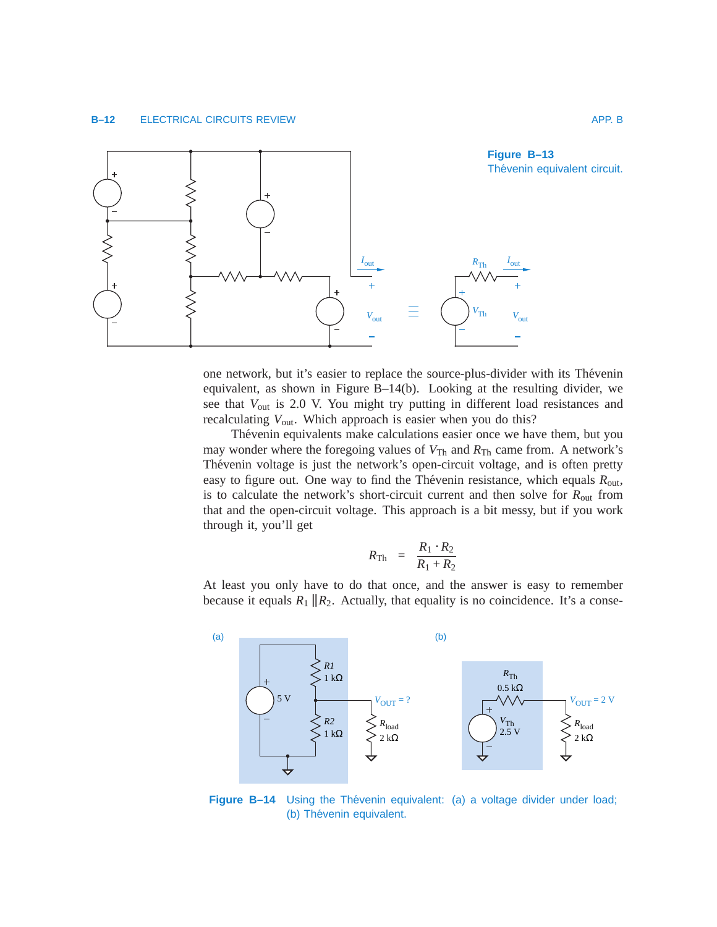

one network, but it's easier to replace the source-plus-divider with its Thévenin equivalent, as shown in Figure B–14(b). Looking at the resulting divider, we see that *V*out is 2.0 V. You might try putting in different load resistances and recalculating  $V_{\text{out}}$ . Which approach is easier when you do this?

Thévenin equivalents make calculations easier once we have them, but you may wonder where the foregoing values of  $V_{\text{Th}}$  and  $R_{\text{Th}}$  came from. A network's Thévenin voltage is just the network's open-circuit voltage, and is often pretty easy to figure out. One way to find the Thévenin resistance, which equals  $R_{\text{out}}$ , is to calculate the network's short-circuit current and then solve for *R*out from that and the open-circuit voltage. This approach is a bit messy, but if you work through it, you'll get

$$
R_{\rm Th} = \frac{R_1 \cdot R_2}{R_1 + R_2}
$$

At least you only have to do that once, and the answer is easy to remember because it equals  $R_1 || R_2$ . Actually, that equality is no coincidence. It's a conse-



**Figure B–14** Using the Thévenin equivalent: (a) a voltage divider under load; (b) Thévenin equivalent.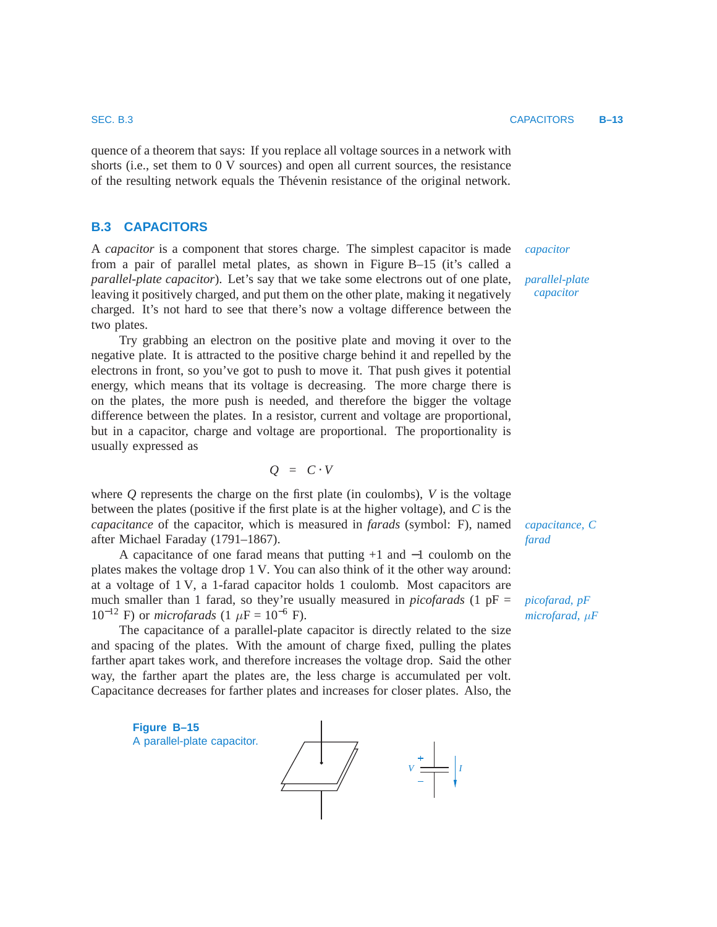quence of a theorem that says: If you replace all voltage sources in a network with shorts (i.e., set them to 0 V sources) and open all current sources, the resistance of the resulting network equals the Thévenin resistance of the original network.

# **B.3 CAPACITORS**

A *capacitor* is a component that stores charge. The simplest capacitor is made *capacitor* from a pair of parallel metal plates, as shown in Figure B–15 (it's called a *parallel-plate capacitor*). Let's say that we take some electrons out of one plate, *parallel-plate* leaving it positively charged, and put them on the other plate, making it negatively *capacitor* charged. It's not hard to see that there's now a voltage difference between the two plates.

Try grabbing an electron on the positive plate and moving it over to the negative plate. It is attracted to the positive charge behind it and repelled by the electrons in front, so you've got to push to move it. That push gives it potential energy, which means that its voltage is decreasing. The more charge there is on the plates, the more push is needed, and therefore the bigger the voltage difference between the plates. In a resistor, current and voltage are proportional, but in a capacitor, charge and voltage are proportional. The proportionality is usually expressed as

$$
Q = C \cdot V
$$

where  $Q$  represents the charge on the first plate (in coulombs),  $V$  is the voltage between the plates (positive if the first plate is at the higher voltage), and *C* is the *capacitance* of the capacitor, which is measured in *farads* (symbol: F), named *capacitance, C* after Michael Faraday (1791–1867). *farad*

A capacitance of one farad means that putting +1 and −1 coulomb on the plates makes the voltage drop 1 V. You can also think of it the other way around: at a voltage of 1 V, a 1-farad capacitor holds 1 coulomb. Most capacitors are much smaller than 1 farad, so they're usually measured in *picofarads* (1 pF = *picofarad, pF*  $10^{-12}$  F) or *microfarads* (1  $\mu$ F = 10<sup>-6</sup> F). *microfarad,*  $\mu$ *F* 

The capacitance of a parallel-plate capacitor is directly related to the size and spacing of the plates. With the amount of charge fixed, pulling the plates farther apart takes work, and therefore increases the voltage drop. Said the other way, the farther apart the plates are, the less charge is accumulated per volt. Capacitance decreases for farther plates and increases for closer plates. Also, the

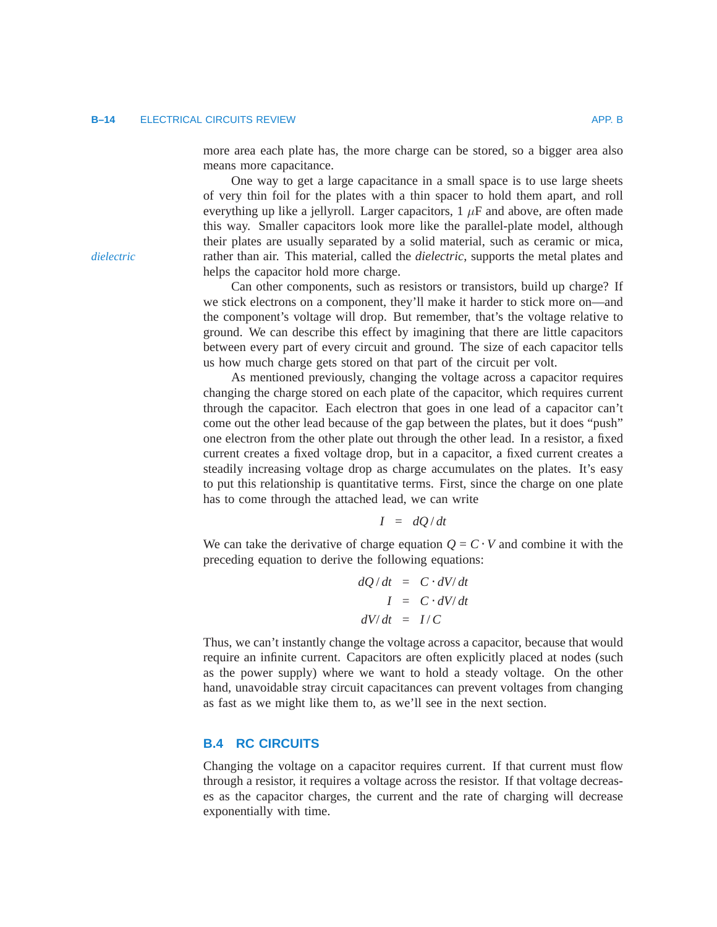### **B–14** ELECTRICAL CIRCUITS REVIEW **APP. B**

more area each plate has, the more charge can be stored, so a bigger area also means more capacitance.

One way to get a large capacitance in a small space is to use large sheets of very thin foil for the plates with a thin spacer to hold them apart, and roll everything up like a jellyroll. Larger capacitors,  $1 \mu$ F and above, are often made this way. Smaller capacitors look more like the parallel-plate model, although their plates are usually separated by a solid material, such as ceramic or mica, *dielectric* rather than air. This material, called the *dielectric*, supports the metal plates and helps the capacitor hold more charge.

> Can other components, such as resistors or transistors, build up charge? If we stick electrons on a component, they'll make it harder to stick more on—and the component's voltage will drop. But remember, that's the voltage relative to ground. We can describe this effect by imagining that there are little capacitors between every part of every circuit and ground. The size of each capacitor tells us how much charge gets stored on that part of the circuit per volt.

> As mentioned previously, changing the voltage across a capacitor requires changing the charge stored on each plate of the capacitor, which requires current through the capacitor. Each electron that goes in one lead of a capacitor can't come out the other lead because of the gap between the plates, but it does "push" one electron from the other plate out through the other lead. In a resistor, a fixed current creates a fixed voltage drop, but in a capacitor, a fixed current creates a steadily increasing voltage drop as charge accumulates on the plates. It's easy to put this relationship is quantitative terms. First, since the charge on one plate has to come through the attached lead, we can write

$$
I = dQ/dt
$$

We can take the derivative of charge equation  $Q = C \cdot V$  and combine it with the preceding equation to derive the following equations:

$$
dQ/dt = C \cdot dV/dt
$$
  

$$
I = C \cdot dV/dt
$$
  

$$
dV/dt = I/C
$$

Thus, we can't instantly change the voltage across a capacitor, because that would require an infinite current. Capacitors are often explicitly placed at nodes (such as the power supply) where we want to hold a steady voltage. On the other hand, unavoidable stray circuit capacitances can prevent voltages from changing as fast as we might like them to, as we'll see in the next section.

# **B.4 RC CIRCUITS**

Changing the voltage on a capacitor requires current. If that current must flow through a resistor, it requires a voltage across the resistor. If that voltage decreases as the capacitor charges, the current and the rate of charging will decrease exponentially with time.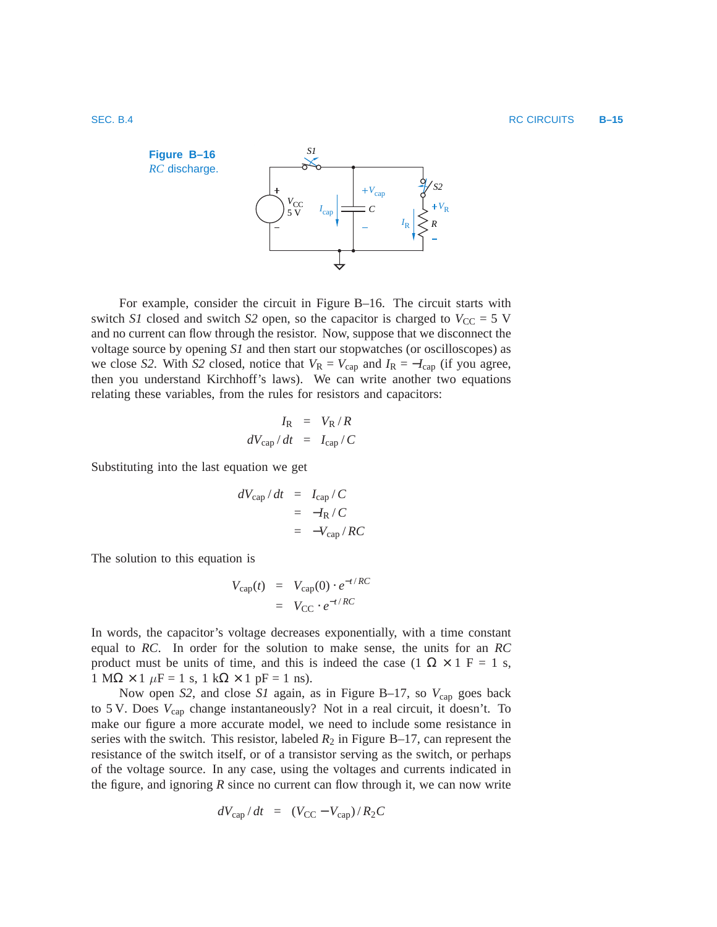

For example, consider the circuit in Figure B–16. The circuit starts with switch *S1* closed and switch *S2* open, so the capacitor is charged to  $V_{CC} = 5$  V and no current can flow through the resistor. Now, suppose that we disconnect the voltage source by opening *S1* and then start our stopwatches (or oscilloscopes) as we close *S2*. With *S2* closed, notice that  $V_R = V_{cap}$  and  $I_R = -I_{cap}$  (if you agree, then you understand Kirchhoff's laws). We can write another two equations relating these variables, from the rules for resistors and capacitors:

$$
I_{\rm R} = V_{\rm R}/R
$$
  

$$
dV_{\rm cap}/dt = I_{\rm cap}/C
$$

Substituting into the last equation we get

$$
dV_{\text{cap}}/dt = I_{\text{cap}}/C
$$
  
= -I<sub>R</sub>/C  
= -V<sub>cap</sub>/RC

The solution to this equation is

$$
V_{\rm cap}(t) = V_{\rm cap}(0) \cdot e^{-t/RC}
$$

$$
= V_{\rm CC} \cdot e^{-t/RC}
$$

In words, the capacitor's voltage decreases exponentially, with a time constant equal to *RC*. In order for the solution to make sense, the units for an *RC* product must be units of time, and this is indeed the case (1  $\Omega \times 1$  F = 1 s,  $1 M\Omega \times 1 \mu F = 1 s$ ,  $1 k\Omega \times 1 pF = 1 ns$ .

Now open *S2*, and close *S1* again, as in Figure B-17, so  $V_{cap}$  goes back to 5 V. Does *V*cap change instantaneously? Not in a real circuit, it doesn't. To make our figure a more accurate model, we need to include some resistance in series with the switch. This resistor, labeled  $R_2$  in Figure B–17, can represent the resistance of the switch itself, or of a transistor serving as the switch, or perhaps of the voltage source. In any case, using the voltages and currents indicated in the figure, and ignoring  $R$  since no current can flow through it, we can now write

$$
dV_{\text{cap}}/dt = (V_{\text{CC}} - V_{\text{cap}})/R_2C
$$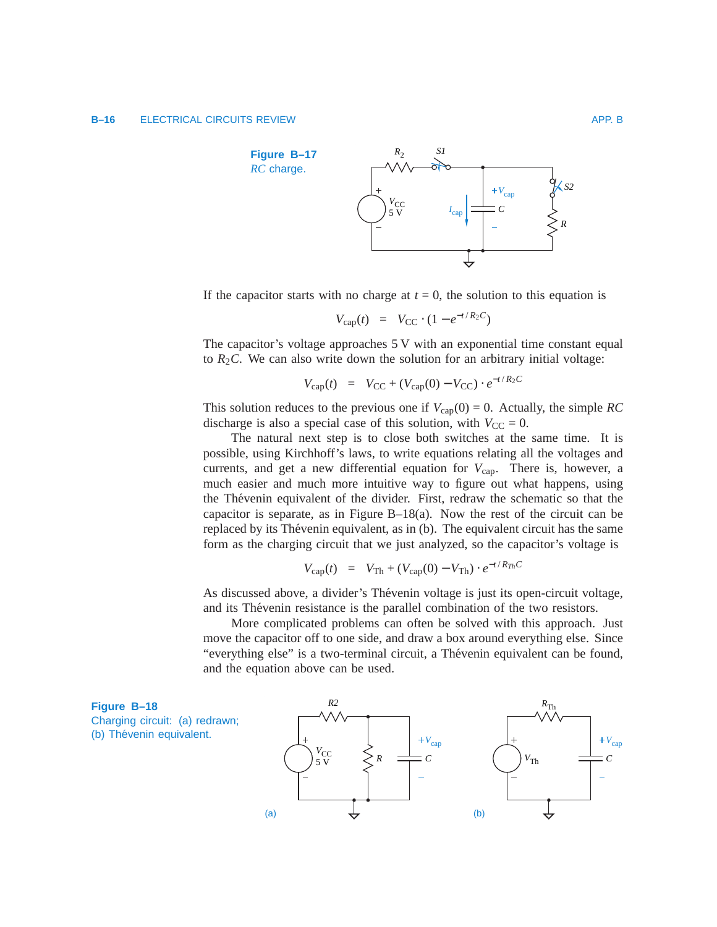

If the capacitor starts with no charge at  $t = 0$ , the solution to this equation is

$$
V_{\rm cap}(t) = V_{\rm CC} \cdot (1 - e^{-t/R_2 C})
$$

The capacitor's voltage approaches 5 V with an exponential time constant equal to  $R_2C$ . We can also write down the solution for an arbitrary initial voltage:

$$
V_{\rm cap}(t) = V_{\rm CC} + (V_{\rm cap}(0) - V_{\rm CC}) \cdot e^{-t/R_2C}
$$

This solution reduces to the previous one if  $V_{cap}(0) = 0$ . Actually, the simple *RC* discharge is also a special case of this solution, with  $V_{\text{CC}} = 0$ .

The natural next step is to close both switches at the same time. It is possible, using Kirchhoff's laws, to write equations relating all the voltages and currents, and get a new differential equation for  $V_{cap}$ . There is, however, a much easier and much more intuitive way to figure out what happens, using the Thévenin equivalent of the divider. First, redraw the schematic so that the capacitor is separate, as in Figure B–18(a). Now the rest of the circuit can be replaced by its Thévenin equivalent, as in (b). The equivalent circuit has the same form as the charging circuit that we just analyzed, so the capacitor's voltage is

$$
V_{\rm cap}(t) = V_{\rm Th} + (V_{\rm cap}(0) - V_{\rm Th}) \cdot e^{-t/R_{\rm Th}C}
$$

As discussed above, a divider's Thévenin voltage is just its open-circuit voltage, and its Thévenin resistance is the parallel combination of the two resistors.

More complicated problems can often be solved with this approach. Just move the capacitor off to one side, and draw a box around everything else. Since "everything else" is a two-terminal circuit, a Thévenin equivalent can be found, and the equation above can be used.

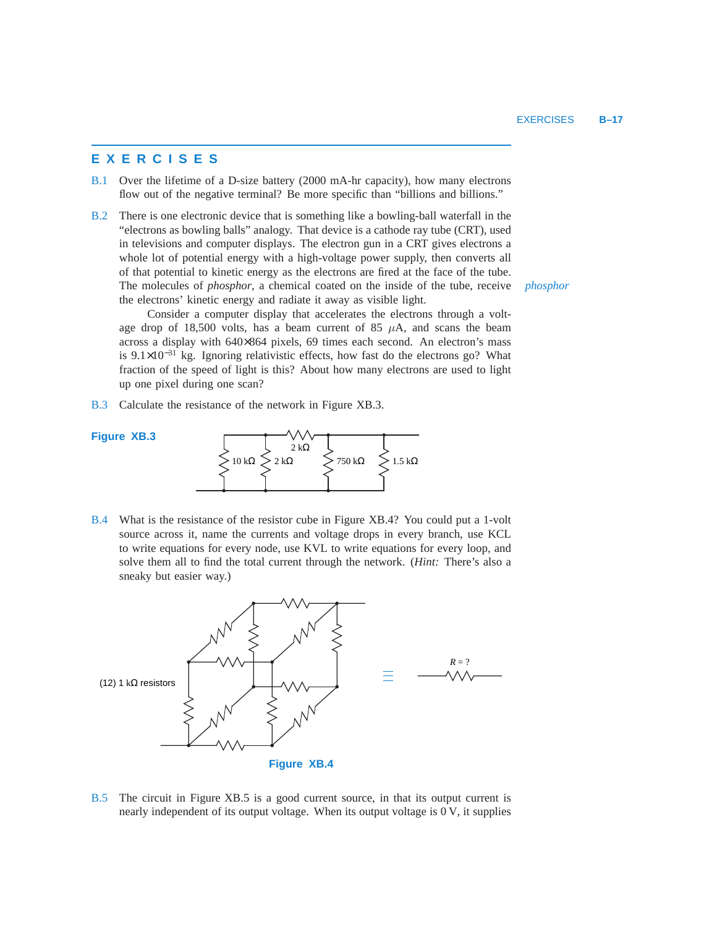# **EXERCISES**

**Figure XB.3**

- B.1 Over the lifetime of a D-size battery (2000 mA-hr capacity), how many electrons flow out of the negative terminal? Be more specific than "billions and billions."
- B.2 There is one electronic device that is something like a bowling-ball waterfall in the "electrons as bowling balls" analogy. That device is a cathode ray tube (CRT), used in televisions and computer displays. The electron gun in a CRT gives electrons a whole lot of potential energy with a high-voltage power supply, then converts all of that potential to kinetic energy as the electrons are fired at the face of the tube. The molecules of *phosphor*, a chemical coated on the inside of the tube, receive *phosphor* the electrons' kinetic energy and radiate it away as visible light.

Consider a computer display that accelerates the electrons through a voltage drop of 18,500 volts, has a beam current of 85  $\mu$ A, and scans the beam across a display with 640×864 pixels, 69 times each second. An electron's mass is 9.1×10<sup>−</sup><sup>31</sup> kg. Ignoring relativistic effects, how fast do the electrons go? What fraction of the speed of light is this? About how many electrons are used to light up one pixel during one scan?

B.3 Calculate the resistance of the network in Figure XB.3.



B.4 What is the resistance of the resistor cube in Figure XB.4? You could put a 1-volt source across it, name the currents and voltage drops in every branch, use KCL to write equations for every node, use KVL to write equations for every loop, and solve them all to find the total current through the network. (*Hint:* There's also a sneaky but easier way.)



B.5 The circuit in Figure XB.5 is a good current source, in that its output current is nearly independent of its output voltage. When its output voltage is 0 V, it supplies